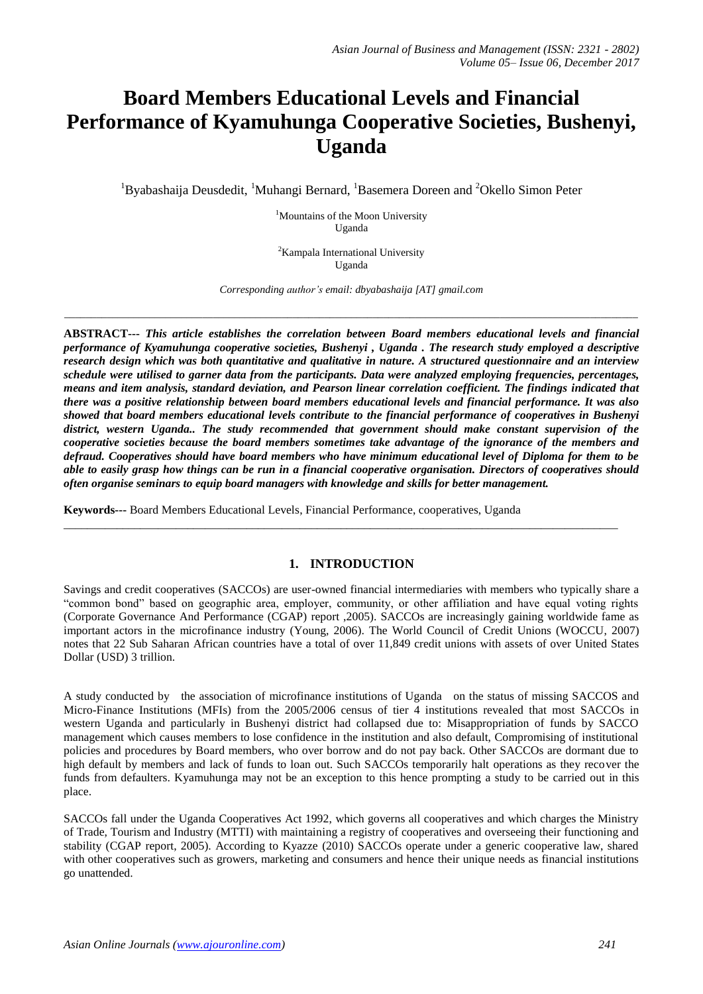# **Board Members Educational Levels and Financial Performance of Kyamuhunga Cooperative Societies, Bushenyi, Uganda**

<sup>1</sup>Byabashaija Deusdedit, <sup>1</sup>Muhangi Bernard, <sup>1</sup>Basemera Doreen and <sup>2</sup>Okello Simon Peter

<sup>1</sup>Mountains of the Moon University Uganda

<sup>2</sup>Kampala International University Uganda

*Corresponding author's email: dbyabashaija [AT] gmail.com*

*\_\_\_\_\_\_\_\_\_\_\_\_\_\_\_\_\_\_\_\_\_\_\_\_\_\_\_\_\_\_\_\_\_\_\_\_\_\_\_\_\_\_\_\_\_\_\_\_\_\_\_\_\_\_\_\_\_\_\_\_\_\_\_\_\_\_\_\_\_\_\_\_\_\_\_\_\_\_\_\_\_\_\_\_\_\_\_\_\_\_\_\_\_\_\_\_\_\_\_\_\_\_\_\_\_\_\_\_*

**ABSTRACT---** *This article establishes the correlation between Board members educational levels and financial performance of Kyamuhunga cooperative societies, Bushenyi , Uganda . The research study employed a descriptive research design which was both quantitative and qualitative in nature. A structured questionnaire and an interview schedule were utilised to garner data from the participants. Data were analyzed employing frequencies, percentages, means and item analysis, standard deviation, and Pearson linear correlation coefficient. The findings indicated that there was a positive relationship between board members educational levels and financial performance. It was also showed that board members educational levels contribute to the financial performance of cooperatives in Bushenyi district, western Uganda.. The study recommended that government should make constant supervision of the cooperative societies because the board members sometimes take advantage of the ignorance of the members and defraud. Cooperatives should have board members who have minimum educational level of Diploma for them to be able to easily grasp how things can be run in a financial cooperative organisation. Directors of cooperatives should often organise seminars to equip board managers with knowledge and skills for better management.*

**Keywords---** Board Members Educational Levels, Financial Performance, cooperatives, Uganda

### **1. INTRODUCTION**

\_\_\_\_\_\_\_\_\_\_\_\_\_\_\_\_\_\_\_\_\_\_\_\_\_\_\_\_\_\_\_\_\_\_\_\_\_\_\_\_\_\_\_\_\_\_\_\_\_\_\_\_\_\_\_\_\_\_\_\_\_\_\_\_\_\_\_\_\_\_\_\_\_\_\_\_\_\_\_\_\_\_\_\_\_\_\_\_\_\_\_\_\_\_

Savings and credit cooperatives (SACCOs) are user-owned financial intermediaries with members who typically share a "common bond" based on geographic area, employer, community, or other affiliation and have equal voting rights (Corporate Governance And Performance (CGAP) report ,2005). SACCOs are increasingly gaining worldwide fame as important actors in the microfinance industry (Young, 2006). The World Council of Credit Unions (WOCCU, 2007) notes that 22 Sub Saharan African countries have a total of over 11,849 credit unions with assets of over United States Dollar (USD) 3 trillion.

A study conducted by the association of microfinance institutions of Uganda on the status of missing SACCOS and Micro-Finance Institutions (MFIs) from the 2005/2006 census of tier 4 institutions revealed that most SACCOs in western Uganda and particularly in Bushenyi district had collapsed due to: Misappropriation of funds by SACCO management which causes members to lose confidence in the institution and also default, Compromising of institutional policies and procedures by Board members, who over borrow and do not pay back. Other SACCOs are dormant due to high default by members and lack of funds to loan out. Such SACCOs temporarily halt operations as they recover the funds from defaulters. Kyamuhunga may not be an exception to this hence prompting a study to be carried out in this place.

SACCOs fall under the Uganda Cooperatives Act 1992, which governs all cooperatives and which charges the Ministry of Trade, Tourism and Industry (MTTI) with maintaining a registry of cooperatives and overseeing their functioning and stability (CGAP report, 2005). According to Kyazze (2010) SACCOs operate under a generic cooperative law, shared with other cooperatives such as growers, marketing and consumers and hence their unique needs as financial institutions go unattended.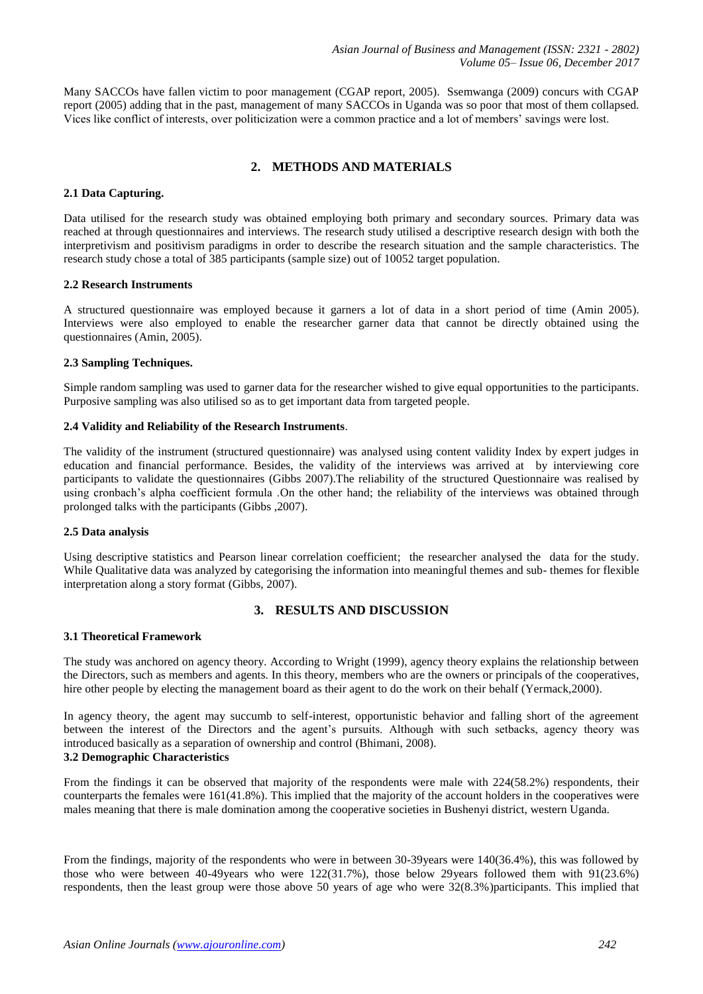Many SACCOs have fallen victim to poor management (CGAP report, 2005). Ssemwanga (2009) concurs with CGAP report (2005) adding that in the past, management of many SACCOs in Uganda was so poor that most of them collapsed. Vices like conflict of interests, over politicization were a common practice and a lot of members' savings were lost.

# **2. METHODS AND MATERIALS**

### **2.1 Data Capturing.**

Data utilised for the research study was obtained employing both primary and secondary sources. Primary data was reached at through questionnaires and interviews. The research study utilised a descriptive research design with both the interpretivism and positivism paradigms in order to describe the research situation and the sample characteristics. The research study chose a total of 385 participants (sample size) out of 10052 target population.

### **2.2 Research Instruments**

A structured questionnaire was employed because it garners a lot of data in a short period of time (Amin 2005). Interviews were also employed to enable the researcher garner data that cannot be directly obtained using the questionnaires (Amin, 2005).

### **2.3 Sampling Techniques.**

Simple random sampling was used to garner data for the researcher wished to give equal opportunities to the participants. Purposive sampling was also utilised so as to get important data from targeted people.

### **2.4 Validity and Reliability of the Research Instruments**.

The validity of the instrument (structured questionnaire) was analysed using content validity Index by expert judges in education and financial performance. Besides, the validity of the interviews was arrived at by interviewing core participants to validate the questionnaires (Gibbs 2007).The reliability of the structured Questionnaire was realised by using cronbach's alpha coefficient formula .On the other hand; the reliability of the interviews was obtained through prolonged talks with the participants (Gibbs ,2007).

### **2.5 Data analysis**

Using descriptive statistics and Pearson linear correlation coefficient; the researcher analysed the data for the study. While Qualitative data was analyzed by categorising the information into meaningful themes and sub- themes for flexible interpretation along a story format (Gibbs, 2007).

## **3. RESULTS AND DISCUSSION**

### **3.1 Theoretical Framework**

The study was anchored on agency theory. According to Wright (1999), agency theory explains the relationship between the Directors, such as members and agents. In this theory, members who are the owners or principals of the cooperatives, hire other people by electing the management board as their agent to do the work on their behalf (Yermack,2000).

In agency theory, the agent may succumb to self-interest, opportunistic behavior and falling short of the agreement between the interest of the Directors and the agent's pursuits. Although with such setbacks, agency theory was introduced basically as a separation of ownership and control (Bhimani, 2008).

# **3.2 Demographic Characteristics**

From the findings it can be observed that majority of the respondents were male with 224(58.2%) respondents, their counterparts the females were 161(41.8%). This implied that the majority of the account holders in the cooperatives were males meaning that there is male domination among the cooperative societies in Bushenyi district, western Uganda.

From the findings, majority of the respondents who were in between 30-39years were 140(36.4%), this was followed by those who were between 40-49years who were 122(31.7%), those below 29years followed them with 91(23.6%) respondents, then the least group were those above 50 years of age who were 32(8.3%)participants. This implied that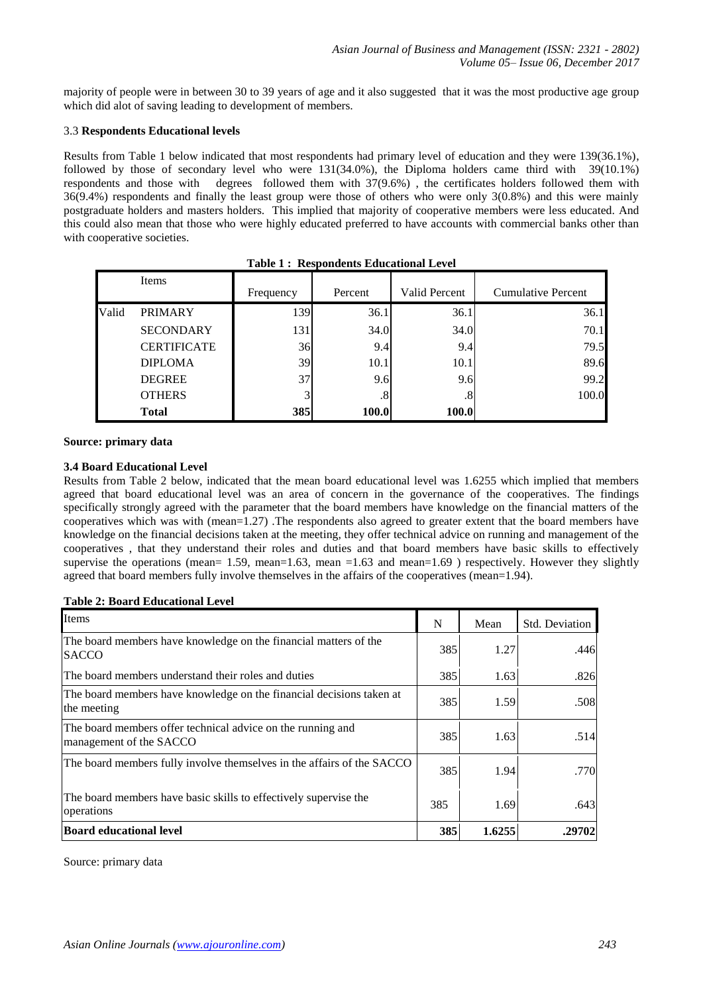majority of people were in between 30 to 39 years of age and it also suggested that it was the most productive age group which did alot of saving leading to development of members.

### 3.3 **Respondents Educational levels**

Results from Table 1 below indicated that most respondents had primary level of education and they were 139(36.1%), followed by those of secondary level who were 131(34.0%), the Diploma holders came third with 39(10.1%) respondents and those with degrees followed them with 37(9.6%) , the certificates holders followed them with 36(9.4%) respondents and finally the least group were those of others who were only 3(0.8%) and this were mainly postgraduate holders and masters holders. This implied that majority of cooperative members were less educated. And this could also mean that those who were highly educated preferred to have accounts with commercial banks other than with cooperative societies.

|       | Items              |           |              |                      |                           |
|-------|--------------------|-----------|--------------|----------------------|---------------------------|
|       |                    | Frequency | Percent      | <b>Valid Percent</b> | <b>Cumulative Percent</b> |
| Valid | <b>PRIMARY</b>     | 139       | 36.1         | 36.1                 | 36.1                      |
|       | <b>SECONDARY</b>   | 131       | 34.0         | 34.0                 | 70.1                      |
|       | <b>CERTIFICATE</b> | 36        | 9.4          | 9.4                  | 79.5                      |
|       | <b>DIPLOMA</b>     | 39        | 10.1         | 10.1                 | 89.6                      |
|       | <b>DEGREE</b>      | 37        | 9.6          | 9.6                  | 99.2                      |
|       | <b>OTHERS</b>      | 3         | $.8^{\circ}$ | $.8^{\circ}$         | 100.0                     |
|       | <b>Total</b>       | 385       | 100.0        | 100.0                |                           |

|  |  |  | <b>Table 1: Respondents Educational Level</b> |  |
|--|--|--|-----------------------------------------------|--|
|--|--|--|-----------------------------------------------|--|

### **Source: primary data**

### **3.4 Board Educational Level**

Results from Table 2 below, indicated that the mean board educational level was 1.6255 which implied that members agreed that board educational level was an area of concern in the governance of the cooperatives. The findings specifically strongly agreed with the parameter that the board members have knowledge on the financial matters of the cooperatives which was with (mean=1.27) .The respondents also agreed to greater extent that the board members have knowledge on the financial decisions taken at the meeting, they offer technical advice on running and management of the cooperatives , that they understand their roles and duties and that board members have basic skills to effectively supervise the operations (mean= 1.59, mean=1.63, mean = 1.63 and mean=1.69) respectively. However they slightly agreed that board members fully involve themselves in the affairs of the cooperatives (mean=1.94).

#### **Table 2: Board Educational Level**

| Items                                                                                  | N   | Mean   | <b>Std. Deviation</b> |
|----------------------------------------------------------------------------------------|-----|--------|-----------------------|
| The board members have knowledge on the financial matters of the<br><b>SACCO</b>       | 385 | 1.27   | .446                  |
| The board members understand their roles and duties                                    | 385 | 1.63   | .826                  |
| The board members have knowledge on the financial decisions taken at<br>the meeting    | 385 | 1.59   | .508                  |
| The board members offer technical advice on the running and<br>management of the SACCO | 385 | 1.63   | .514                  |
| The board members fully involve themselves in the affairs of the SACCO                 | 385 | 1.94   | .770                  |
| The board members have basic skills to effectively supervise the<br>operations         | 385 | 1.69   | .643                  |
| <b>Board educational level</b>                                                         | 385 | 1.6255 | .29702                |

Source: primary data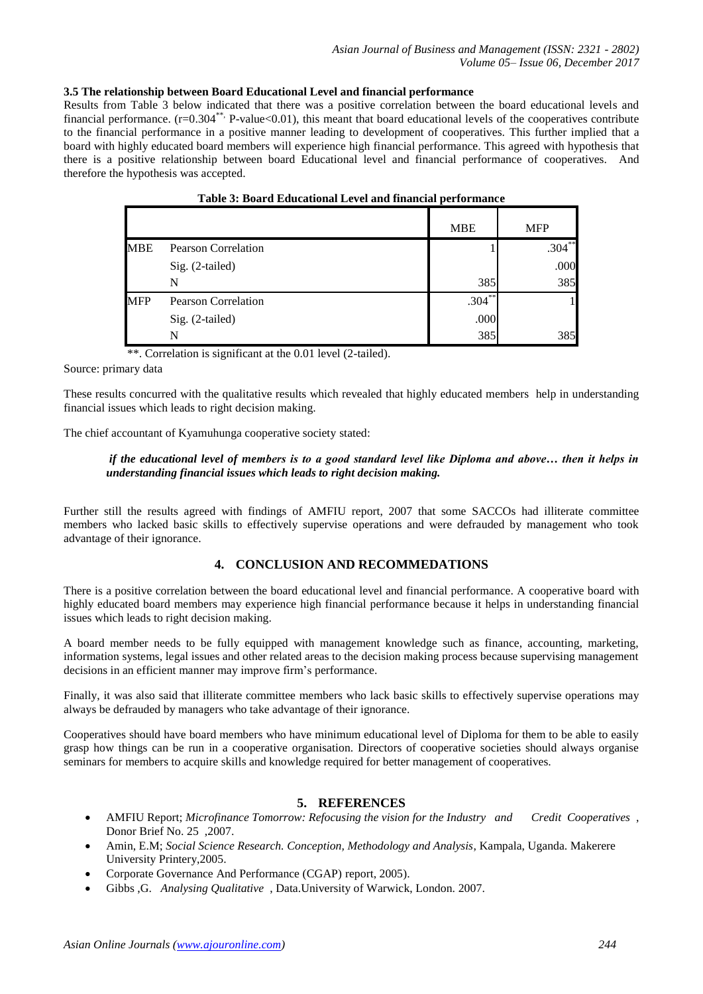### **3.5 The relationship between Board Educational Level and financial performance**

Results from Table 3 below indicated that there was a positive correlation between the board educational levels and financial performance.  $(r=0.304^{**}$  P-value<0.01), this meant that board educational levels of the cooperatives contribute to the financial performance in a positive manner leading to development of cooperatives. This further implied that a board with highly educated board members will experience high financial performance. This agreed with hypothesis that there is a positive relationship between board Educational level and financial performance of cooperatives. And therefore the hypothesis was accepted.

|            | Table 5. Doard Educational Level and Imancial performance |            |            |
|------------|-----------------------------------------------------------|------------|------------|
|            |                                                           | <b>MBE</b> | <b>MFP</b> |
| <b>MBE</b> | <b>Pearson Correlation</b>                                |            | $.304***$  |
|            | Sig. (2-tailed)                                           |            | .000       |
|            | N                                                         | 385        | 385        |
| <b>MFP</b> | <b>Pearson Correlation</b>                                | $.304***$  |            |
|            | Sig. (2-tailed)                                           | .000       |            |
|            | N                                                         | 385        | 385        |

| Table 3: Board Educational Level and financial performance |
|------------------------------------------------------------|
|------------------------------------------------------------|

\*\*. Correlation is significant at the 0.01 level (2-tailed).

Source: primary data

These results concurred with the qualitative results which revealed that highly educated members help in understanding financial issues which leads to right decision making.

The chief accountant of Kyamuhunga cooperative society stated:

### *if the educational level of members is to a good standard level like Diploma and above… then it helps in understanding financial issues which leads to right decision making.*

Further still the results agreed with findings of AMFIU report, 2007 that some SACCOs had illiterate committee members who lacked basic skills to effectively supervise operations and were defrauded by management who took advantage of their ignorance.

### **4. CONCLUSION AND RECOMMEDATIONS**

There is a positive correlation between the board educational level and financial performance. A cooperative board with highly educated board members may experience high financial performance because it helps in understanding financial issues which leads to right decision making.

A board member needs to be fully equipped with management knowledge such as finance, accounting, marketing, information systems, legal issues and other related areas to the decision making process because supervising management decisions in an efficient manner may improve firm's performance.

Finally, it was also said that illiterate committee members who lack basic skills to effectively supervise operations may always be defrauded by managers who take advantage of their ignorance.

Cooperatives should have board members who have minimum educational level of Diploma for them to be able to easily grasp how things can be run in a cooperative organisation. Directors of cooperative societies should always organise seminars for members to acquire skills and knowledge required for better management of cooperatives.

### **5. REFERENCES**

- AMFIU Report; *Microfinance Tomorrow: Refocusing the vision for the Industry and Credit Cooperatives* , Donor Brief No. 25 ,2007.
- Amin, E.M; *Social Science Research. Conception, Methodology and Analysis*, Kampala, Uganda. Makerere University Printery,2005.
- Corporate Governance And Performance (CGAP) report, 2005).
- Gibbs ,G. *Analysing Qualitative* , Data.University of Warwick, London. 2007.